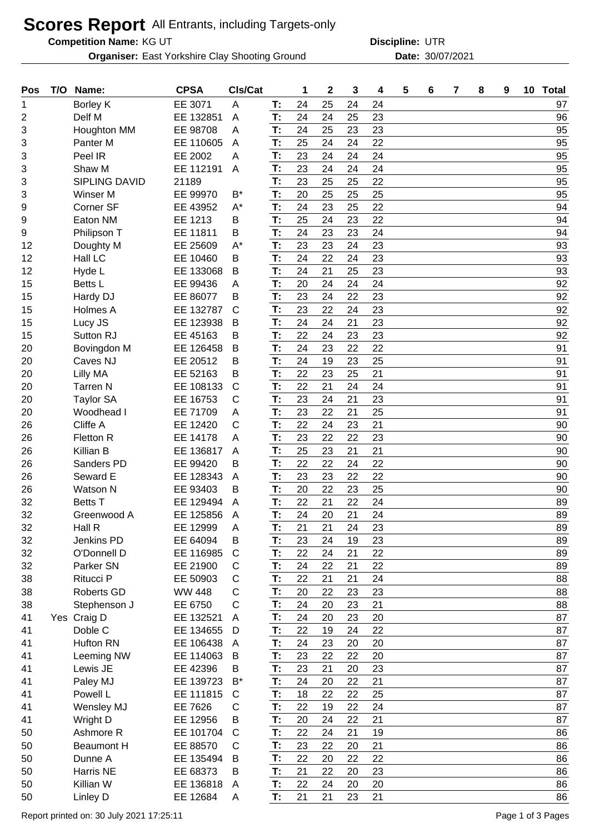## **Scores Report** All Entrants, including Targets-only

**Competition Name:**

**Organiser:** East Yorkshire Clay Shooting Ground **30/07/2021** Date: 30/07/2021

KG UT UTR **Discipline:**

| Pos | T/O | Name:                | <b>CPSA</b>   | CIs/Cat              |    | 1  | $\mathbf{2}$ | 3  | 4  | 5 | 6 | $\overline{7}$ | 8 | 9 | 10 Total |
|-----|-----|----------------------|---------------|----------------------|----|----|--------------|----|----|---|---|----------------|---|---|----------|
| 1   |     | Borley K             | EE 3071       | A                    | T: | 24 | 25           | 24 | 24 |   |   |                |   |   | 97       |
| 2   |     | Delf M               | EE 132851     | A                    | T: | 24 | 24           | 25 | 23 |   |   |                |   |   | 96       |
| 3   |     | Houghton MM          | EE 98708      | A                    | T: | 24 | 25           | 23 | 23 |   |   |                |   |   | 95       |
| 3   |     | Panter M             | EE 110605     | A                    | T: | 25 | 24           | 24 | 22 |   |   |                |   |   | 95       |
| 3   |     | Peel IR              | EE 2002       | A                    | T: | 23 | 24           | 24 | 24 |   |   |                |   |   | 95       |
| 3   |     | Shaw M               | EE 112191     | A                    | T: | 23 | 24           | 24 | 24 |   |   |                |   |   | 95       |
| 3   |     | <b>SIPLING DAVID</b> | 21189         |                      | T: | 23 | 25           | 25 | 22 |   |   |                |   |   | 95       |
| 3   |     | Winser M             | EE 99970      | $\mathsf{B}^{\star}$ | T: | 20 | 25           | 25 | 25 |   |   |                |   |   | 95       |
| 9   |     | Corner SF            | EE 43952      | $A^*$                | T: | 24 | 23           | 25 | 22 |   |   |                |   |   | 94       |
| 9   |     | Eaton NM             | EE 1213       | В                    | T: | 25 | 24           | 23 | 22 |   |   |                |   |   | 94       |
| 9   |     | Philipson T          | EE 11811      | В                    | T: | 24 | 23           | 23 | 24 |   |   |                |   |   | 94       |
| 12  |     | Doughty M            | EE 25609      | $A^*$                | T: | 23 | 23           | 24 | 23 |   |   |                |   |   | 93       |
| 12  |     | Hall LC              | EE 10460      | B                    | T: | 24 | 22           | 24 | 23 |   |   |                |   |   | 93       |
| 12  |     | Hyde L               | EE 133068     | B                    | T: | 24 | 21           | 25 | 23 |   |   |                |   |   | 93       |
| 15  |     | Betts L              | EE 99436      | Α                    | T: | 20 | 24           | 24 | 24 |   |   |                |   |   | 92       |
| 15  |     | Hardy DJ             | EE 86077      | В                    | T: | 23 | 24           | 22 | 23 |   |   |                |   |   | 92       |
| 15  |     | Holmes A             | EE 132787     | $\mathsf{C}$         | T: | 23 | 22           | 24 | 23 |   |   |                |   |   | 92       |
| 15  |     | Lucy JS              | EE 123938     | B                    | T: | 24 | 24           | 21 | 23 |   |   |                |   |   | 92       |
| 15  |     | Sutton RJ            | EE 45163      | В                    | T: | 22 | 24           | 23 | 23 |   |   |                |   |   | 92       |
| 20  |     | Bovingdon M          | EE 126458     | B                    | T: | 24 | 23           | 22 | 22 |   |   |                |   |   | 91       |
| 20  |     | Caves NJ             | EE 20512      | B                    | T: | 24 | 19           | 23 | 25 |   |   |                |   |   | 91       |
| 20  |     | Lilly MA             | EE 52163      | В                    | T: | 22 | 23           | 25 | 21 |   |   |                |   |   | 91       |
| 20  |     | <b>Tarren N</b>      | EE 108133     | $\mathsf{C}$         | T: | 22 | 21           | 24 | 24 |   |   |                |   |   | 91       |
| 20  |     | <b>Taylor SA</b>     | EE 16753      | C                    | T: | 23 | 24           | 21 | 23 |   |   |                |   |   | 91       |
| 20  |     | Woodhead I           | EE 71709      | A                    | T: | 23 | 22           | 21 | 25 |   |   |                |   |   | 91       |
| 26  |     | Cliffe A             | EE 12420      | $\mathsf{C}$         | T: | 22 | 24           | 23 | 21 |   |   |                |   |   | 90       |
| 26  |     | Fletton R            | EE 14178      | A                    | T: | 23 | 22           | 22 | 23 |   |   |                |   |   | 90       |
| 26  |     | Killian B            | EE 136817     | Α                    | T: | 25 | 23           | 21 | 21 |   |   |                |   |   | 90       |
| 26  |     | Sanders PD           | EE 99420      | В                    | T: | 22 | 22           | 24 | 22 |   |   |                |   |   | 90       |
| 26  |     | Seward E             | EE 128343     | A                    | T: | 23 | 23           | 22 | 22 |   |   |                |   |   | 90       |
| 26  |     | Watson N             | EE 93403      | B                    | T: | 20 | 22           | 23 | 25 |   |   |                |   |   | 90       |
| 32  |     | <b>Betts T</b>       | EE 129494     | A                    | T: | 22 | 21           | 22 | 24 |   |   |                |   |   | 89       |
| 32  |     | Greenwood A          | EE 125856     | A                    | T: | 24 | 20           | 21 | 24 |   |   |                |   |   | 89       |
| 32  |     | Hall R               | EE 12999      | A                    | T: | 21 | 21           | 24 | 23 |   |   |                |   |   | 89       |
| 32  |     | Jenkins PD           | EE 64094      | B                    | T: | 23 | 24           | 19 | 23 |   |   |                |   |   | 89       |
| 32  |     | O'Donnell D          | EE 116985     | $\mathsf{C}$         | T: | 22 | 24           | 21 | 22 |   |   |                |   |   | 89       |
| 32  |     | Parker SN            | EE 21900      | C                    | T: | 24 | 22           | 21 | 22 |   |   |                |   |   | 89       |
| 38  |     | Ritucci P            | EE 50903      | $\mathsf{C}$         | T: | 22 | 21           | 21 | 24 |   |   |                |   |   | 88       |
| 38  |     | <b>Roberts GD</b>    | <b>WW 448</b> | C                    | T: | 20 | 22           | 23 | 23 |   |   |                |   |   | 88       |
| 38  |     | Stephenson J         | EE 6750       | C                    | T: | 24 | 20           | 23 | 21 |   |   |                |   |   | 88       |
| 41  |     | Yes Craig D          | EE 132521     | A                    | T: | 24 | 20           | 23 | 20 |   |   |                |   |   | 87       |
| 41  |     | Doble C              | EE 134655     | D                    | T: | 22 | 19           | 24 | 22 |   |   |                |   |   | 87       |
| 41  |     | Hufton RN            | EE 106438     | A                    | T: | 24 | 23           | 20 | 20 |   |   |                |   |   | 87       |
| 41  |     | Leeming NW           | EE 114063     | B                    | T: | 23 | 22           | 22 | 20 |   |   |                |   |   | 87       |
| 41  |     | Lewis JE             | EE 42396      | B                    | T: | 23 | 21           | 20 | 23 |   |   |                |   |   | 87       |
| 41  |     | Paley MJ             | EE 139723     | $B^*$                | T: | 24 | 20           | 22 | 21 |   |   |                |   |   | 87       |
| 41  |     | Powell L             | EE 111815     | $\mathsf{C}$         | T: | 18 | 22           | 22 | 25 |   |   |                |   |   | 87       |
| 41  |     | Wensley MJ           | EE 7626       | C                    | T: | 22 | 19           | 22 | 24 |   |   |                |   |   | 87       |
| 41  |     | Wright D             | EE 12956      | B                    | T: | 20 | 24           | 22 | 21 |   |   |                |   |   | 87       |
| 50  |     | Ashmore R            | EE 101704     | $\mathsf{C}$         | T: | 22 | 24           | 21 | 19 |   |   |                |   |   | 86       |
| 50  |     | <b>Beaumont H</b>    | EE 88570      | C                    | T: | 23 | 22           | 20 | 21 |   |   |                |   |   | 86       |
| 50  |     | Dunne A              | EE 135494     | B                    | T: | 22 | 20           | 22 | 22 |   |   |                |   |   | 86       |
| 50  |     | Harris NE            | EE 68373      | В                    | T: | 21 | 22           | 20 | 23 |   |   |                |   |   | 86       |
| 50  |     | Killian W            | EE 136818     | A                    | T: | 22 | 24           | 20 | 20 |   |   |                |   |   | 86       |
| 50  |     | Linley D             | EE 12684      | A                    | T: | 21 | 21           | 23 | 21 |   |   |                |   |   | 86       |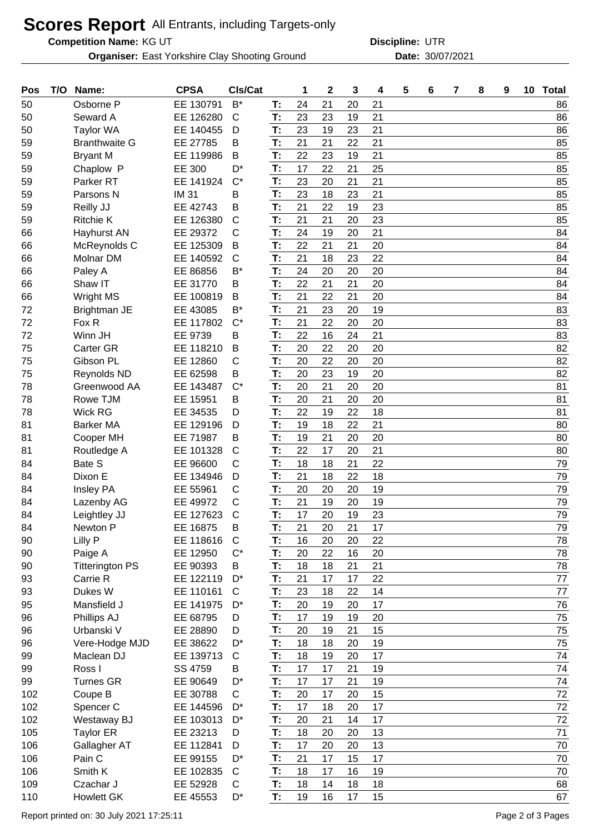## **Scores Report** All Entrants, including Targets-only

**Competition Name:**

**Organiser:** East Yorkshire Clay Shooting Ground **30/07/2021** Date: 30/07/2021

KG UT UTR **Discipline:**

| Pos | T/O | Name:                  | <b>CPSA</b>  | CIs/Cat      |    | 1  | $\overline{2}$ | 3  | 4  | 5 | 6 | 7 | 8 | 9 | 10 | <b>Total</b> |
|-----|-----|------------------------|--------------|--------------|----|----|----------------|----|----|---|---|---|---|---|----|--------------|
| 50  |     | Osborne P              | EE 130791    | $B^*$        | т: | 24 | 21             | 20 | 21 |   |   |   |   |   |    | 86           |
| 50  |     | Seward A               | EE 126280    | $\mathsf{C}$ | T: | 23 | 23             | 19 | 21 |   |   |   |   |   |    | 86           |
| 50  |     | <b>Taylor WA</b>       | EE 140455    | D            | T: | 23 | 19             | 23 | 21 |   |   |   |   |   |    | 86           |
| 59  |     | <b>Branthwaite G</b>   | EE 27785     | В            | T: | 21 | 21             | 22 | 21 |   |   |   |   |   |    | 85           |
| 59  |     | <b>Bryant M</b>        | EE 119986    | В            | T: | 22 | 23             | 19 | 21 |   |   |   |   |   |    | 85           |
| 59  |     | Chaplow P              | EE 300       | D*           | T: | 17 | 22             | 21 | 25 |   |   |   |   |   |    | 85           |
| 59  |     | Parker <sub>RT</sub>   | EE 141924    | $C^*$        | T: | 23 | 20             | 21 | 21 |   |   |   |   |   |    | 85           |
| 59  |     | Parsons N              | <b>IM 31</b> | В            | T: | 23 | 18             | 23 | 21 |   |   |   |   |   |    | 85           |
| 59  |     | Reilly JJ              | EE 42743     | B            | T: | 21 | 22             | 19 | 23 |   |   |   |   |   |    | 85           |
| 59  |     | <b>Ritchie K</b>       | EE 126380    | C            | T: | 21 | 21             | 20 | 23 |   |   |   |   |   |    | 85           |
| 66  |     | Hayhurst AN            | EE 29372     | C            | T: | 24 | 19             | 20 | 21 |   |   |   |   |   |    | 84           |
| 66  |     | McReynolds C           | EE 125309    | B            | T: | 22 | 21             | 21 | 20 |   |   |   |   |   |    | 84           |
| 66  |     | Molnar DM              | EE 140592    | C            | T: | 21 | 18             | 23 | 22 |   |   |   |   |   |    | 84           |
| 66  |     | Paley A                | EE 86856     | B*           | T: | 24 | 20             | 20 | 20 |   |   |   |   |   |    | 84           |
| 66  |     | Shaw IT                | EE 31770     | В            | T: | 22 | 21             | 21 | 20 |   |   |   |   |   |    | 84           |
| 66  |     | <b>Wright MS</b>       | EE 100819    | B            | T: | 21 | 22             | 21 | 20 |   |   |   |   |   |    | 84           |
| 72  |     | Brightman JE           | EE 43085     | $B^*$        | T: | 21 | 23             | 20 | 19 |   |   |   |   |   |    | 83           |
| 72  |     | Fox R                  | EE 117802    | $C^*$        | T: | 21 | 22             | 20 | 20 |   |   |   |   |   |    | 83           |
| 72  |     | Winn JH                | EE 9739      | В            | T: | 22 | 16             | 24 | 21 |   |   |   |   |   |    | 83           |
| 75  |     | Carter GR              | EE 118210    | B            | T: | 20 | 22             | 20 | 20 |   |   |   |   |   |    | 82           |
| 75  |     | Gibson PL              | EE 12860     | C            | T: | 20 | 22             | 20 | 20 |   |   |   |   |   |    | 82           |
| 75  |     |                        | EE 62598     | B            | T: | 20 | 23             | 19 | 20 |   |   |   |   |   |    | 82           |
|     |     | <b>Reynolds ND</b>     |              |              |    |    |                |    |    |   |   |   |   |   |    |              |
| 78  |     | Greenwood AA           | EE 143487    | $C^*$        | T: | 20 | 21             | 20 | 20 |   |   |   |   |   |    | 81           |
| 78  |     | Rowe TJM               | EE 15951     | В            | T: | 20 | 21             | 20 | 20 |   |   |   |   |   |    | 81           |
| 78  |     | <b>Wick RG</b>         | EE 34535     | D            | T: | 22 | 19             | 22 | 18 |   |   |   |   |   |    | 81           |
| 81  |     | <b>Barker MA</b>       | EE 129196    | D            | T: | 19 | 18             | 22 | 21 |   |   |   |   |   |    | 80           |
| 81  |     | Cooper MH              | EE 71987     | В            | T: | 19 | 21             | 20 | 20 |   |   |   |   |   |    | 80           |
| 81  |     | Routledge A            | EE 101328    | $\mathsf{C}$ | T: | 22 | 17             | 20 | 21 |   |   |   |   |   |    | 80           |
| 84  |     | Bate S                 | EE 96600     | C            | T: | 18 | 18             | 21 | 22 |   |   |   |   |   |    | 79           |
| 84  |     | Dixon E                | EE 134946    | D            | T: | 21 | 18             | 22 | 18 |   |   |   |   |   |    | 79           |
| 84  |     | <b>Insley PA</b>       | EE 55961     | С            | T: | 20 | 20             | 20 | 19 |   |   |   |   |   |    | 79           |
| 84  |     | Lazenby AG             | EE 49972     | C            | T: | 21 | 19             | 20 | 19 |   |   |   |   |   |    | 79           |
| 84  |     | Leightley JJ           | EE 127623    | $\mathsf{C}$ | T: | 17 | 20             | 19 | 23 |   |   |   |   |   |    | 79           |
| 84  |     | Newton P               | EE 16875     | В            | T: | 21 | 20             | 21 | 17 |   |   |   |   |   |    | 79           |
| 90  |     | Lilly P                | EE 118616    | C            | Т: | 16 | 20             | 20 | 22 |   |   |   |   |   |    | 78           |
| 90  |     | Paige A                | EE 12950     | $C^*$        | T: | 20 | 22             | 16 | 20 |   |   |   |   |   |    | 78           |
| 90  |     | <b>Titterington PS</b> | EE 90393     | B            | T: | 18 | 18             | 21 | 21 |   |   |   |   |   |    | 78           |
| 93  |     | Carrie R               | EE 122119    | D*           | T: | 21 | 17             | 17 | 22 |   |   |   |   |   |    | 77           |
| 93  |     | Dukes W                | EE 110161    | C            | T: | 23 | 18             | 22 | 14 |   |   |   |   |   |    | 77           |
| 95  |     | Mansfield J            | EE 141975    | $D^*$        | T: | 20 | 19             | 20 | 17 |   |   |   |   |   |    | 76           |
| 96  |     | Phillips AJ            | EE 68795     | D            | T: | 17 | 19             | 19 | 20 |   |   |   |   |   |    | 75           |
| 96  |     | Urbanski V             | EE 28890     | D            | T: | 20 | 19             | 21 | 15 |   |   |   |   |   |    | 75           |
| 96  |     | Vere-Hodge MJD         | EE 38622     | D*           | T: | 18 | 18             | 20 | 19 |   |   |   |   |   |    | 75           |
| 99  |     | Maclean DJ             | EE 139713    | $\mathsf{C}$ | T: | 18 | 19             | 20 | 17 |   |   |   |   |   |    | 74           |
| 99  |     | Ross I                 | SS 4759      | B            | T: | 17 | 17             | 21 | 19 |   |   |   |   |   |    | 74           |
| 99  |     | <b>Turnes GR</b>       | EE 90649     | D*           | T: | 17 | 17             | 21 | 19 |   |   |   |   |   |    | 74           |
| 102 |     | Coupe B                | EE 30788     | $\mathsf C$  | T: | 20 | 17             | 20 | 15 |   |   |   |   |   |    | 72           |
| 102 |     | Spencer C              | EE 144596    | D*           | T: | 17 | 18             | 20 | 17 |   |   |   |   |   |    | 72           |
| 102 |     | Westaway BJ            | EE 103013    | $D^*$        | T: | 20 | 21             | 14 | 17 |   |   |   |   |   |    | 72           |
| 105 |     | <b>Taylor ER</b>       | EE 23213     | D            | T: | 18 | 20             | 20 | 13 |   |   |   |   |   |    | 71           |
| 106 |     |                        | EE 112841    | D            | T. | 17 | 20             | 20 | 13 |   |   |   |   |   |    | 70           |
| 106 |     | Gallagher AT<br>Pain C |              | D*           | T: | 21 | 17             | 15 | 17 |   |   |   |   |   |    | 70           |
|     |     |                        | EE 99155     |              |    |    |                |    |    |   |   |   |   |   |    |              |
| 106 |     | Smith K                | EE 102835    | $\mathsf{C}$ | T: | 18 | 17             | 16 | 19 |   |   |   |   |   |    | 70           |
| 109 |     | Czachar J              | EE 52928     | C            | T: | 18 | 14             | 18 | 18 |   |   |   |   |   |    | 68           |
| 110 |     | <b>Howlett GK</b>      | EE 45553     | D*           | T: | 19 | 16             | 17 | 15 |   |   |   |   |   |    | 67           |

Report printed on: 30 July 2021 17:25:11 CHA CONSERVERGIA CONSERVERGENCE PAGE 2 of 3 Pages